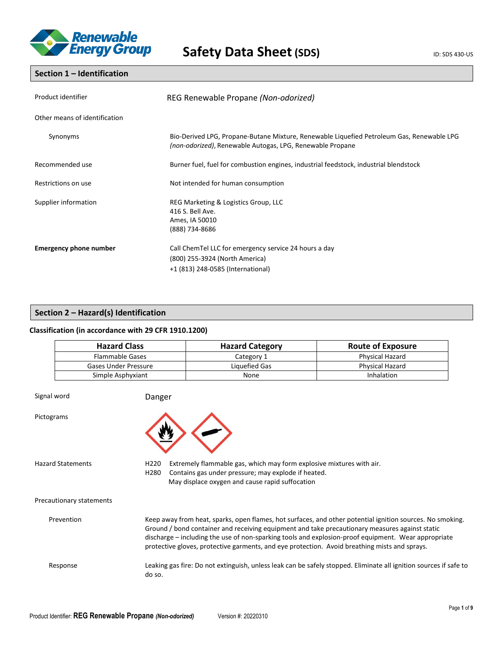

### **Section 1 – Identification**

| Product identifier            | REG Renewable Propane (Non-odorized)                                                                                                                   |  |  |
|-------------------------------|--------------------------------------------------------------------------------------------------------------------------------------------------------|--|--|
| Other means of identification |                                                                                                                                                        |  |  |
| Synonyms                      | Bio-Derived LPG, Propane-Butane Mixture, Renewable Liquefied Petroleum Gas, Renewable LPG<br>(non-odorized), Renewable Autogas, LPG, Renewable Propane |  |  |
| Recommended use               | Burner fuel, fuel for combustion engines, industrial feedstock, industrial blendstock                                                                  |  |  |
| Restrictions on use           | Not intended for human consumption                                                                                                                     |  |  |
| Supplier information          | REG Marketing & Logistics Group, LLC<br>416 S. Bell Ave.<br>Ames, IA 50010<br>(888) 734-8686                                                           |  |  |
| <b>Emergency phone number</b> | Call ChemTel LLC for emergency service 24 hours a day<br>(800) 255-3924 (North America)<br>+1 (813) 248-0585 (International)                           |  |  |

### **Section 2 – Hazard(s) Identification**

### **Classification (in accordance with 29 CFR 1910.1200)**

| <b>Hazard Class</b>    | <b>Hazard Category</b> | <b>Route of Exposure</b> |  |
|------------------------|------------------------|--------------------------|--|
| <b>Flammable Gases</b> | Category 1             | Physical Hazard          |  |
| Gases Under Pressure   | Liquefied Gas          | <b>Physical Hazard</b>   |  |
| Simple Asphyxiant      | None                   | Inhalation               |  |

| Signal word              | Danger                                                                                                                                                                                                                                                                                                                                                                                                              |
|--------------------------|---------------------------------------------------------------------------------------------------------------------------------------------------------------------------------------------------------------------------------------------------------------------------------------------------------------------------------------------------------------------------------------------------------------------|
| Pictograms               |                                                                                                                                                                                                                                                                                                                                                                                                                     |
| Hazard Statements        | Extremely flammable gas, which may form explosive mixtures with air.<br>H <sub>220</sub><br>H280<br>Contains gas under pressure; may explode if heated.<br>May displace oxygen and cause rapid suffocation                                                                                                                                                                                                          |
| Precautionary statements |                                                                                                                                                                                                                                                                                                                                                                                                                     |
| Prevention               | Keep away from heat, sparks, open flames, hot surfaces, and other potential ignition sources. No smoking.<br>Ground / bond container and receiving equipment and take precautionary measures against static<br>discharge – including the use of non-sparking tools and explosion-proof equipment. Wear appropriate<br>protective gloves, protective garments, and eye protection. Avoid breathing mists and sprays. |
| Response                 | Leaking gas fire: Do not extinguish, unless leak can be safely stopped. Eliminate all ignition sources if safe to<br>do so.                                                                                                                                                                                                                                                                                         |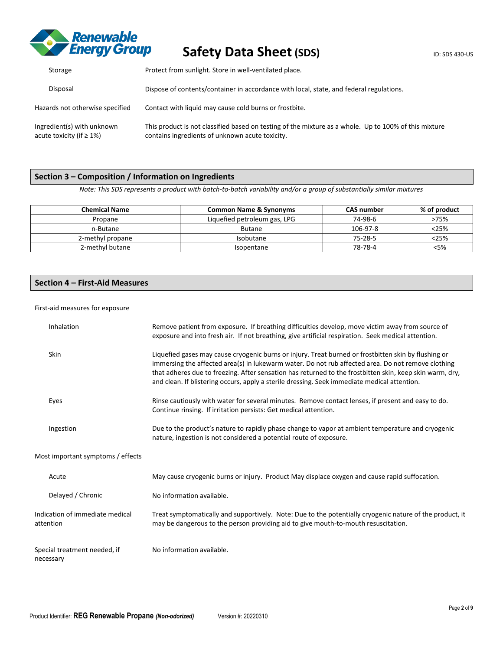

| Storage                                                       | Protect from sunlight. Store in well-ventilated place.                                                                                                   |  |  |
|---------------------------------------------------------------|----------------------------------------------------------------------------------------------------------------------------------------------------------|--|--|
| Disposal                                                      | Dispose of contents/container in accordance with local, state, and federal regulations.                                                                  |  |  |
| Hazards not otherwise specified                               | Contact with liquid may cause cold burns or frostbite.                                                                                                   |  |  |
| Ingredient(s) with unknown<br>acute toxicity (if $\geq 1\%$ ) | This product is not classified based on testing of the mixture as a whole. Up to 100% of this mixture<br>contains ingredients of unknown acute toxicity. |  |  |

### **Section 3 – Composition / Information on Ingredients**

*Note: This SDS represents a product with batch-to-batch variability and/or a group of substantially similar mixtures*

| <b>Chemical Name</b> | <b>Common Name &amp; Synonyms</b> | <b>CAS number</b> | % of product |
|----------------------|-----------------------------------|-------------------|--------------|
| Propane              | Liquefied petroleum gas, LPG      | 74-98-6           | >75%         |
| n-Butane             | <b>Butane</b>                     | 106-97-8          |              |
| 2-methyl propane     | Isobutane                         | 75-28-5           | <25%         |
| 2-methyl butane      | Isopentane                        | 78-78-4           | <5%          |

### **Section 4 – First-Aid Measures**

### First-aid measures for exposure

| Inhalation                                   | Remove patient from exposure. If breathing difficulties develop, move victim away from source of<br>exposure and into fresh air. If not breathing, give artificial respiration. Seek medical attention.                                                                                                                                                                                                                |
|----------------------------------------------|------------------------------------------------------------------------------------------------------------------------------------------------------------------------------------------------------------------------------------------------------------------------------------------------------------------------------------------------------------------------------------------------------------------------|
| Skin                                         | Liquefied gases may cause cryogenic burns or injury. Treat burned or frostbitten skin by flushing or<br>immersing the affected area(s) in lukewarm water. Do not rub affected area. Do not remove clothing<br>that adheres due to freezing. After sensation has returned to the frostbitten skin, keep skin warm, dry,<br>and clean. If blistering occurs, apply a sterile dressing. Seek immediate medical attention. |
| Eyes                                         | Rinse cautiously with water for several minutes. Remove contact lenses, if present and easy to do.<br>Continue rinsing. If irritation persists: Get medical attention.                                                                                                                                                                                                                                                 |
| Ingestion                                    | Due to the product's nature to rapidly phase change to vapor at ambient temperature and cryogenic<br>nature, ingestion is not considered a potential route of exposure.                                                                                                                                                                                                                                                |
| Most important symptoms / effects            |                                                                                                                                                                                                                                                                                                                                                                                                                        |
| Acute                                        | May cause cryogenic burns or injury. Product May displace oxygen and cause rapid suffocation.                                                                                                                                                                                                                                                                                                                          |
| Delayed / Chronic                            | No information available.                                                                                                                                                                                                                                                                                                                                                                                              |
| Indication of immediate medical<br>attention | Treat symptomatically and supportively. Note: Due to the potentially cryogenic nature of the product, it<br>may be dangerous to the person providing aid to give mouth-to-mouth resuscitation.                                                                                                                                                                                                                         |
| Special treatment needed, if<br>necessary    | No information available.                                                                                                                                                                                                                                                                                                                                                                                              |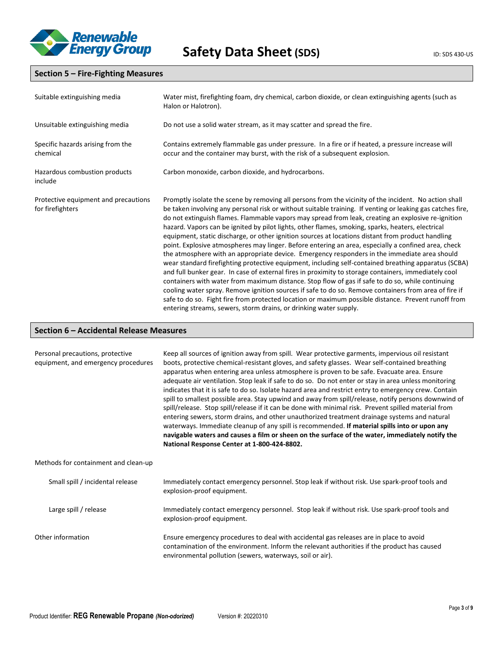

### **Section 5 – Fire-Fighting Measures**

| Suitable extinguishing media                             | Water mist, firefighting foam, dry chemical, carbon dioxide, or clean extinguishing agents (such as<br>Halon or Halotron).                                                                                                                                                                                                                                                                                                                                                                                                                                                                                                                                                                                                                                                                                                                                                                                                                                                                                                                                                                                                                                                                                                                                                                                                                          |  |
|----------------------------------------------------------|-----------------------------------------------------------------------------------------------------------------------------------------------------------------------------------------------------------------------------------------------------------------------------------------------------------------------------------------------------------------------------------------------------------------------------------------------------------------------------------------------------------------------------------------------------------------------------------------------------------------------------------------------------------------------------------------------------------------------------------------------------------------------------------------------------------------------------------------------------------------------------------------------------------------------------------------------------------------------------------------------------------------------------------------------------------------------------------------------------------------------------------------------------------------------------------------------------------------------------------------------------------------------------------------------------------------------------------------------------|--|
| Unsuitable extinguishing media                           | Do not use a solid water stream, as it may scatter and spread the fire.                                                                                                                                                                                                                                                                                                                                                                                                                                                                                                                                                                                                                                                                                                                                                                                                                                                                                                                                                                                                                                                                                                                                                                                                                                                                             |  |
| Specific hazards arising from the<br>chemical            | Contains extremely flammable gas under pressure. In a fire or if heated, a pressure increase will<br>occur and the container may burst, with the risk of a subsequent explosion.                                                                                                                                                                                                                                                                                                                                                                                                                                                                                                                                                                                                                                                                                                                                                                                                                                                                                                                                                                                                                                                                                                                                                                    |  |
| Hazardous combustion products<br>include                 | Carbon monoxide, carbon dioxide, and hydrocarbons.                                                                                                                                                                                                                                                                                                                                                                                                                                                                                                                                                                                                                                                                                                                                                                                                                                                                                                                                                                                                                                                                                                                                                                                                                                                                                                  |  |
| Protective equipment and precautions<br>for firefighters | Promptly isolate the scene by removing all persons from the vicinity of the incident. No action shall<br>be taken involving any personal risk or without suitable training. If venting or leaking gas catches fire,<br>do not extinguish flames. Flammable vapors may spread from leak, creating an explosive re-ignition<br>hazard. Vapors can be ignited by pilot lights, other flames, smoking, sparks, heaters, electrical<br>equipment, static discharge, or other ignition sources at locations distant from product handling<br>point. Explosive atmospheres may linger. Before entering an area, especially a confined area, check<br>the atmosphere with an appropriate device. Emergency responders in the immediate area should<br>wear standard firefighting protective equipment, including self-contained breathing apparatus (SCBA)<br>and full bunker gear. In case of external fires in proximity to storage containers, immediately cool<br>containers with water from maximum distance. Stop flow of gas if safe to do so, while continuing<br>cooling water spray. Remove ignition sources if safe to do so. Remove containers from area of fire if<br>safe to do so. Fight fire from protected location or maximum possible distance. Prevent runoff from<br>entering streams, sewers, storm drains, or drinking water supply. |  |

### **Section 6 – Accidental Release Measures**

| Personal precautions, protective<br>equipment, and emergency procedures | Keep all sources of ignition away from spill. Wear protective garments, impervious oil resistant<br>boots, protective chemical-resistant gloves, and safety glasses. Wear self-contained breathing<br>apparatus when entering area unless atmosphere is proven to be safe. Evacuate area. Ensure<br>adequate air ventilation. Stop leak if safe to do so. Do not enter or stay in area unless monitoring<br>indicates that it is safe to do so. Isolate hazard area and restrict entry to emergency crew. Contain<br>spill to smallest possible area. Stay upwind and away from spill/release, notify persons downwind of<br>spill/release. Stop spill/release if it can be done with minimal risk. Prevent spilled material from<br>entering sewers, storm drains, and other unauthorized treatment drainage systems and natural<br>waterways. Immediate cleanup of any spill is recommended. If material spills into or upon any<br>navigable waters and causes a film or sheen on the surface of the water, immediately notify the<br>National Response Center at 1-800-424-8802. |  |  |
|-------------------------------------------------------------------------|--------------------------------------------------------------------------------------------------------------------------------------------------------------------------------------------------------------------------------------------------------------------------------------------------------------------------------------------------------------------------------------------------------------------------------------------------------------------------------------------------------------------------------------------------------------------------------------------------------------------------------------------------------------------------------------------------------------------------------------------------------------------------------------------------------------------------------------------------------------------------------------------------------------------------------------------------------------------------------------------------------------------------------------------------------------------------------------|--|--|
| Methods for containment and clean-up                                    |                                                                                                                                                                                                                                                                                                                                                                                                                                                                                                                                                                                                                                                                                                                                                                                                                                                                                                                                                                                                                                                                                      |  |  |
| Small spill / incidental release                                        | Immediately contact emergency personnel. Stop leak if without risk. Use spark-proof tools and<br>explosion-proof equipment.                                                                                                                                                                                                                                                                                                                                                                                                                                                                                                                                                                                                                                                                                                                                                                                                                                                                                                                                                          |  |  |
| Large spill / release                                                   | Immediately contact emergency personnel. Stop leak if without risk. Use spark-proof tools and<br>explosion-proof equipment.                                                                                                                                                                                                                                                                                                                                                                                                                                                                                                                                                                                                                                                                                                                                                                                                                                                                                                                                                          |  |  |
| Other information                                                       | Ensure emergency procedures to deal with accidental gas releases are in place to avoid<br>contamination of the environment. Inform the relevant authorities if the product has caused<br>environmental pollution (sewers, waterways, soil or air).                                                                                                                                                                                                                                                                                                                                                                                                                                                                                                                                                                                                                                                                                                                                                                                                                                   |  |  |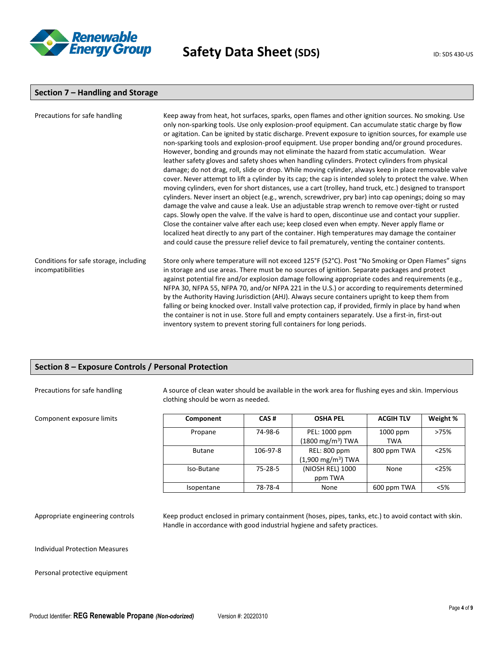

### **Section 7 – Handling and Storage**

| Precautions for safe handling                               | Keep away from heat, hot surfaces, sparks, open flames and other ignition sources. No smoking. Use<br>only non-sparking tools. Use only explosion-proof equipment. Can accumulate static charge by flow<br>or agitation. Can be ignited by static discharge. Prevent exposure to ignition sources, for example use<br>non-sparking tools and explosion-proof equipment. Use proper bonding and/or ground procedures.<br>However, bonding and grounds may not eliminate the hazard from static accumulation. Wear<br>leather safety gloves and safety shoes when handling cylinders. Protect cylinders from physical<br>damage; do not drag, roll, slide or drop. While moving cylinder, always keep in place removable valve<br>cover. Never attempt to lift a cylinder by its cap; the cap is intended solely to protect the valve. When<br>moving cylinders, even for short distances, use a cart (trolley, hand truck, etc.) designed to transport<br>cylinders. Never insert an object (e.g., wrench, screwdriver, pry bar) into cap openings; doing so may<br>damage the valve and cause a leak. Use an adjustable strap wrench to remove over-tight or rusted<br>caps. Slowly open the valve. If the valve is hard to open, discontinue use and contact your supplier.<br>Close the container valve after each use; keep closed even when empty. Never apply flame or<br>localized heat directly to any part of the container. High temperatures may damage the container<br>and could cause the pressure relief device to fail prematurely, venting the container contents. |
|-------------------------------------------------------------|------------------------------------------------------------------------------------------------------------------------------------------------------------------------------------------------------------------------------------------------------------------------------------------------------------------------------------------------------------------------------------------------------------------------------------------------------------------------------------------------------------------------------------------------------------------------------------------------------------------------------------------------------------------------------------------------------------------------------------------------------------------------------------------------------------------------------------------------------------------------------------------------------------------------------------------------------------------------------------------------------------------------------------------------------------------------------------------------------------------------------------------------------------------------------------------------------------------------------------------------------------------------------------------------------------------------------------------------------------------------------------------------------------------------------------------------------------------------------------------------------------------------------------------------------------------------------------|
| Conditions for safe storage, including<br>incompatibilities | Store only where temperature will not exceed 125°F (52°C). Post "No Smoking or Open Flames" signs<br>in storage and use areas. There must be no sources of ignition. Separate packages and protect<br>against potential fire and/or explosion damage following appropriate codes and requirements (e.g.,<br>NFPA 30, NFPA 55, NFPA 70, and/or NFPA 221 in the U.S.) or according to requirements determined<br>by the Authority Having Jurisdiction (AHJ). Always secure containers upright to keep them from<br>falling or being knocked over. Install valve protection cap, if provided, firmly in place by hand when<br>the container is not in use. Store full and empty containers separately. Use a first-in, first-out<br>inventory system to prevent storing full containers for long periods.                                                                                                                                                                                                                                                                                                                                                                                                                                                                                                                                                                                                                                                                                                                                                                             |

### **Section 8 – Exposure Controls / Personal Protection**

 $Component exposure limits$ 

Precautions for safe handling A source of clean water should be available in the work area for flushing eyes and skin. Impervious clothing should be worn as needed.

| Component     | CAS#          | <b>OSHA PEL</b>                                     | <b>ACGIH TLV</b>       | Weight % |
|---------------|---------------|-----------------------------------------------------|------------------------|----------|
| Propane       | 74-98-6       | PEL: 1000 ppm<br>$(1800 \text{ mg/m}^3)$ TWA        | 1000 ppm<br><b>TWA</b> | >75%     |
| <b>Butane</b> | 106-97-8      | <b>REL: 800 ppm</b><br>$(1,900 \text{ mg/m}^3)$ TWA | 800 ppm TWA            | < 25%    |
| Iso-Butane    | $75 - 28 - 5$ | (NIOSH REL) 1000<br>ppm TWA                         | None                   | < 25%    |
| Isopentane    | 78-78-4       | None                                                | 600 ppm TWA            | <5%      |

Appropriate engineering controls Keep product enclosed in primary containment (hoses, pipes, tanks, etc.) to avoid contact with skin. Handle in accordance with good industrial hygiene and safety practices.

Individual Protection Measures

Personal protective equipment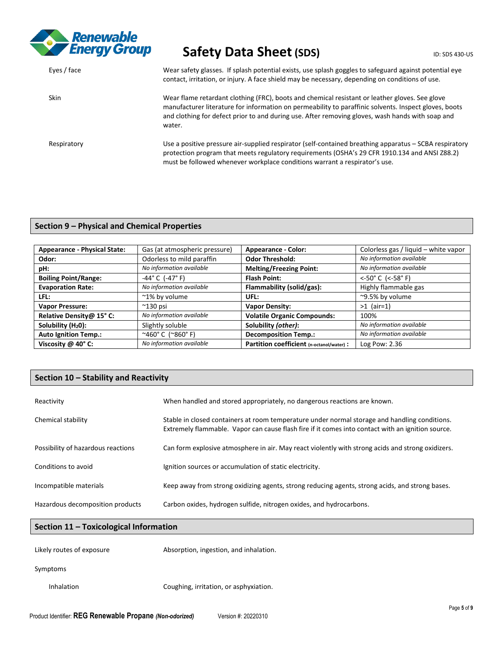

| Eyes / face | Wear safety glasses. If splash potential exists, use splash goggles to safeguard against potential eye<br>contact, irritation, or injury. A face shield may be necessary, depending on conditions of use.                                                                                                             |
|-------------|-----------------------------------------------------------------------------------------------------------------------------------------------------------------------------------------------------------------------------------------------------------------------------------------------------------------------|
| <b>Skin</b> | Wear flame retardant clothing (FRC), boots and chemical resistant or leather gloves. See glove<br>manufacturer literature for information on permeability to paraffinic solvents. Inspect gloves, boots<br>and clothing for defect prior to and during use. After removing gloves, wash hands with soap and<br>water. |
| Respiratory | Use a positive pressure air-supplied respirator (self-contained breathing apparatus – SCBA respiratory<br>protection program that meets regulatory requirements (OSHA's 29 CFR 1910.134 and ANSI Z88.2)<br>must be followed whenever workplace conditions warrant a respirator's use.                                 |

### **Section 9 – Physical and Chemical Properties**

| <b>Appearance - Physical State:</b> | Gas (at atmospheric pressure)                    | <b>Appearance - Color:</b>                | Colorless gas / liquid – white vapor |
|-------------------------------------|--------------------------------------------------|-------------------------------------------|--------------------------------------|
| Odor:                               | Odorless to mild paraffin                        | <b>Odor Threshold:</b>                    | No information available             |
| pH:                                 | No information available                         | <b>Melting/Freezing Point:</b>            | No information available             |
| <b>Boiling Point/Range:</b>         | $-44^{\circ}$ C (-47 $^{\circ}$ F)               | <b>Flash Point:</b>                       | <-50° C $(<-58° F)$                  |
| <b>Evaporation Rate:</b>            | No information available                         | Flammability (solid/gas):                 | Highly flammable gas                 |
| LFL:                                | ~1% by volume                                    | UFL:                                      | ~9.5% by volume                      |
| <b>Vapor Pressure:</b>              | $^{\sim}$ 130 psi                                | <b>Vapor Density:</b>                     | $>1$ (air=1)                         |
| Relative Density@ 15° C:            | No information available                         | <b>Volatile Organic Compounds:</b>        | 100%                                 |
| Solubility $(H20)$ :                | Slightly soluble                                 | Solubility (other):                       | No information available             |
| <b>Auto Ignition Temp.:</b>         | $^{\sim}460^{\circ}$ C ( $^{\sim}860^{\circ}$ F) | <b>Decomposition Temp.:</b>               | No information available             |
| Viscosity $@$ 40 $°C$ :             | No information available                         | Partition coefficient (n-octanol/water) : | Log Pow: 2.36                        |

### **Section 10 – Stability and Reactivity**

| Reactivity                         | When handled and stored appropriately, no dangerous reactions are known.                                                                                                                           |
|------------------------------------|----------------------------------------------------------------------------------------------------------------------------------------------------------------------------------------------------|
| Chemical stability                 | Stable in closed containers at room temperature under normal storage and handling conditions.<br>Extremely flammable. Vapor can cause flash fire if it comes into contact with an ignition source. |
| Possibility of hazardous reactions | Can form explosive atmosphere in air. May react violently with strong acids and strong oxidizers.                                                                                                  |
| Conditions to avoid                | Ignition sources or accumulation of static electricity.                                                                                                                                            |
| Incompatible materials             | Keep away from strong oxidizing agents, strong reducing agents, strong acids, and strong bases.                                                                                                    |
| Hazardous decomposition products   | Carbon oxides, hydrogen sulfide, nitrogen oxides, and hydrocarbons.                                                                                                                                |

### **Section 11 – Toxicological Information**

| Likely routes of exposure | Absorption, ingestion, and inhalation. |
|---------------------------|----------------------------------------|
|---------------------------|----------------------------------------|

### Symptoms

Inhalation Coughing, irritation, or asphyxiation.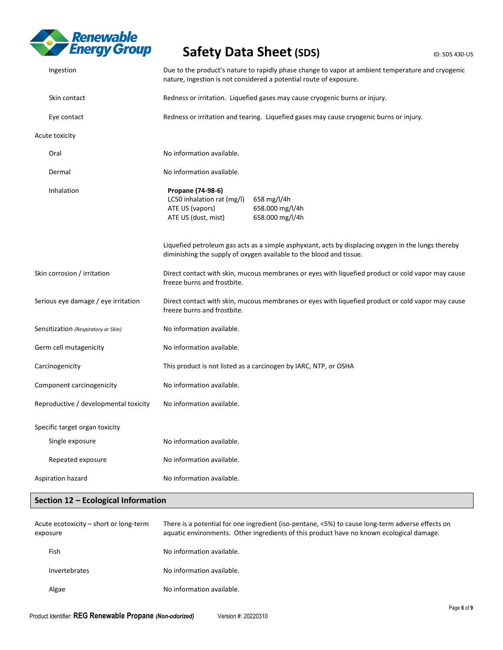

| Ingestion                             | Due to the product's nature to rapidly phase change to vapor at ambient temperature and cryogenic<br>nature, ingestion is not considered a potential route of exposure.    |  |
|---------------------------------------|----------------------------------------------------------------------------------------------------------------------------------------------------------------------------|--|
| Skin contact                          | Redness or irritation. Liquefied gases may cause cryogenic burns or injury.                                                                                                |  |
| Eye contact                           | Redness or irritation and tearing. Liquefied gases may cause cryogenic burns or injury.                                                                                    |  |
| Acute toxicity                        |                                                                                                                                                                            |  |
| Oral                                  | No information available.                                                                                                                                                  |  |
| Dermal                                | No information available.                                                                                                                                                  |  |
| Inhalation                            | Propane (74-98-6)<br>LC50 inhalation rat (mg/l)<br>658 mg/l/4h<br>658.000 mg/l/4h<br>ATE US (vapors)<br>658.000 mg/l/4h<br>ATE US (dust, mist)                             |  |
|                                       | Liquefied petroleum gas acts as a simple asphyxiant, acts by displacing oxygen in the lungs thereby<br>diminishing the supply of oxygen available to the blood and tissue. |  |
| Skin corrosion / irritation           | Direct contact with skin, mucous membranes or eyes with liquefied product or cold vapor may cause<br>freeze burns and frostbite.                                           |  |
| Serious eye damage / eye irritation   | Direct contact with skin, mucous membranes or eyes with liquefied product or cold vapor may cause<br>freeze burns and frostbite.                                           |  |
| Sensitization (Respiratory or Skin)   | No information available.                                                                                                                                                  |  |
| Germ cell mutagenicity                | No information available.                                                                                                                                                  |  |
| Carcinogenicity                       | This product is not listed as a carcinogen by IARC, NTP, or OSHA                                                                                                           |  |
| Component carcinogenicity             | No information available.                                                                                                                                                  |  |
| Reproductive / developmental toxicity | No information available.                                                                                                                                                  |  |
| Specific target organ toxicity        |                                                                                                                                                                            |  |
| Single exposure                       | No information available.                                                                                                                                                  |  |
| Repeated exposure                     | No information available.                                                                                                                                                  |  |
| Aspiration hazard                     | No information available.                                                                                                                                                  |  |

### **Section 12 – Ecological Information**

| Acute ecotoxicity - short or long-term<br>exposure | There is a potential for one ingredient (iso-pentane, <5%) to cause long-term adverse effects on<br>aquatic environments. Other ingredients of this product have no known ecological damage. |
|----------------------------------------------------|----------------------------------------------------------------------------------------------------------------------------------------------------------------------------------------------|
| Fish                                               | No information available.                                                                                                                                                                    |
| Invertebrates                                      | No information available.                                                                                                                                                                    |
| Algae                                              | No information available.                                                                                                                                                                    |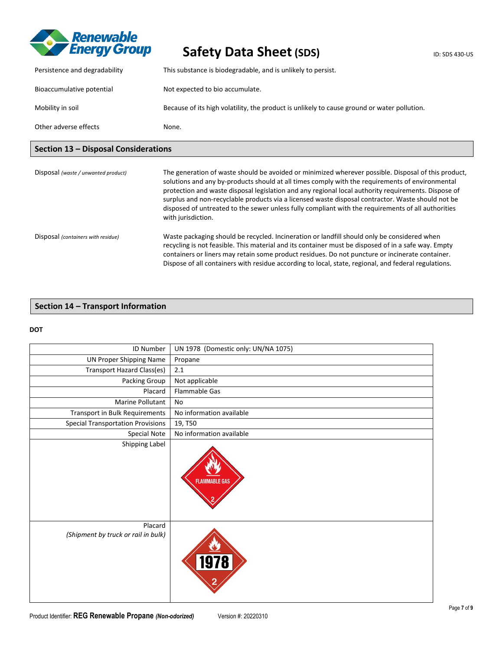

| Other adverse effects         | None.                                                                                       |
|-------------------------------|---------------------------------------------------------------------------------------------|
| Mobility in soil              | Because of its high volatility, the product is unlikely to cause ground or water pollution. |
| Bioaccumulative potential     | Not expected to bio accumulate.                                                             |
| Persistence and degradability | This substance is biodegradable, and is unlikely to persist.                                |

## **Section 13 – Disposal Considerations**

| Disposal (waste / unwanted product) | The generation of waste should be avoided or minimized wherever possible. Disposal of this product,<br>solutions and any by-products should at all times comply with the requirements of environmental<br>protection and waste disposal legislation and any regional local authority requirements. Dispose of<br>surplus and non-recyclable products via a licensed waste disposal contractor. Waste should not be<br>disposed of untreated to the sewer unless fully compliant with the requirements of all authorities<br>with jurisdiction. |
|-------------------------------------|------------------------------------------------------------------------------------------------------------------------------------------------------------------------------------------------------------------------------------------------------------------------------------------------------------------------------------------------------------------------------------------------------------------------------------------------------------------------------------------------------------------------------------------------|
| Disposal (containers with residue)  | Waste packaging should be recycled. Incineration or landfill should only be considered when<br>recycling is not feasible. This material and its container must be disposed of in a safe way. Empty<br>containers or liners may retain some product residues. Do not puncture or incinerate container.<br>Dispose of all containers with residue according to local, state, regional, and federal regulations.                                                                                                                                  |

### **Section 14 – Transport Information**

### **DOT**

| ID Number                                      | UN 1978 (Domestic only: UN/NA 1075) |
|------------------------------------------------|-------------------------------------|
| <b>UN Proper Shipping Name</b>                 | Propane                             |
| Transport Hazard Class(es)                     | 2.1                                 |
| Packing Group                                  | Not applicable                      |
| Placard                                        | Flammable Gas                       |
| Marine Pollutant                               | No                                  |
| <b>Transport in Bulk Requirements</b>          | No information available            |
| <b>Special Transportation Provisions</b>       | 19, T50                             |
| Special Note                                   | No information available            |
| Shipping Label                                 | <b>FLAMMABLE GAS</b>                |
| Placard<br>(Shipment by truck or rail in bulk) | <u> 1978 </u>                       |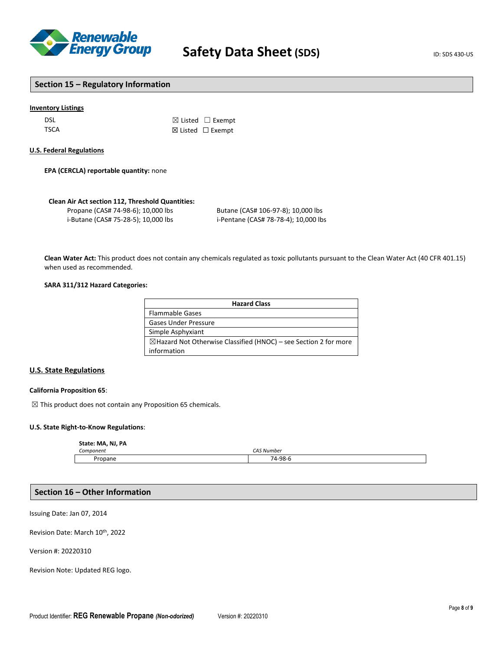

### **Section 15 – Regulatory Information**

### **Inventory Listings**

| dsl  | $\boxtimes$ Listed $\Box$ Exempt |
|------|----------------------------------|
| TSCA | $\boxtimes$ Listed $\Box$ Exempt |

#### **U.S. Federal Regulations**

**EPA (CERCLA) reportable quantity:** none

#### **Clean Air Act section 112, Threshold Quantities:**

| Propane (CAS# 74-98-6); 10,000 lbs  |  |
|-------------------------------------|--|
| i-Butane (CAS# 75-28-5); 10,000 lbs |  |

Butane (CAS# 106-97-8); 10,000 lbs i-Pentane (CAS# 78-78-4); 10,000 lbs

**Clean Water Act:** This product does not contain any chemicals regulated as toxic pollutants pursuant to the Clean Water Act (40 CFR 401.15) when used as recommended.

### **SARA 311/312 Hazard Categories:**

| <b>Hazard Class</b>                                                         |  |
|-----------------------------------------------------------------------------|--|
| <b>Flammable Gases</b>                                                      |  |
| <b>Gases Under Pressure</b>                                                 |  |
| Simple Asphyxiant                                                           |  |
| $\boxtimes$ Hazard Not Otherwise Classified (HNOC) – see Section 2 for more |  |
| information                                                                 |  |

### **U.S. State Regulations**

#### **California Proposition 65**:

 $\boxtimes$  This product does not contain any Proposition 65 chemicals.

### **U.S. State Right-to-Know Regulations**:

#### **State: MA, NJ, PA**

| $\sim$<br>Component | $- - - - -$<br>. Number<br>71 S<br> |
|---------------------|-------------------------------------|
| Pronan              | '4-98-6<br>71<br>-<br>ັ             |

### **Section 16 – Other Information**

Issuing Date: Jan 07, 2014

Revision Date: March 10<sup>th</sup>, 2022

Version #: 20220310

Revision Note: Updated REG logo.